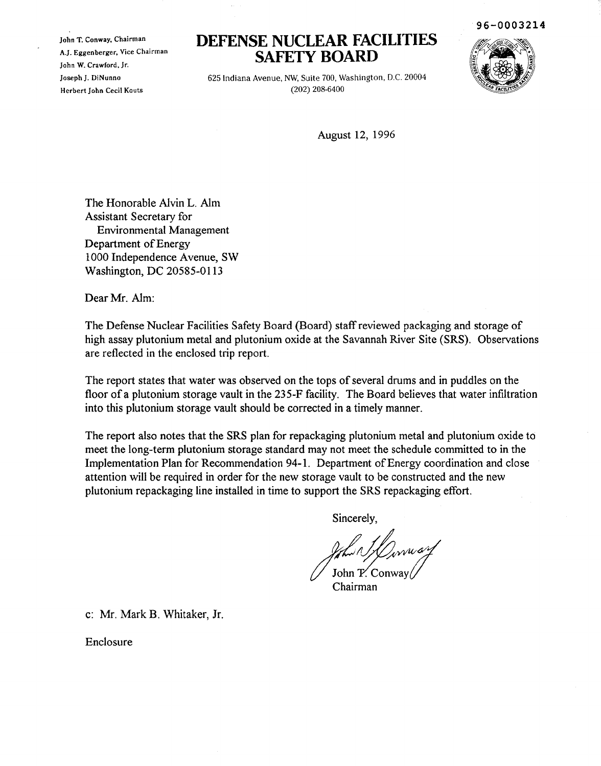John T. Conway, Chairman A.J. Eggenberger, Vice Chairman John W. Crawford, Jr. Joseph J. DiNunno Herbert John Cecil Kouts

## **DEFENSE NUCLEAR FACILITIES SAFETY BOARD**

625 Indiana Avenue, NW, Suite 700, Washington, D.C. 20004 (202) 208-6400

August 12, 1996

The Honorable Alvin L. Alm Assistant Secretary for Environmental Management Department of Energy 1000 Independence Avenue, SW Washington, DC 20585-0113

Dear Mr. Alm:

The Defense Nuclear Facilities Safety Board (Board) staffreviewed packaging and storage of high assay plutonium metal and plutonium oxide at the Savannah River Site (SRS), Observations are reflected in the enclosed trip report.

The report states that water was observed on the tops of several drums and in puddles on the floor of a plutonium storage vault in the 235-F facility. The Board believes that water infiltration into this plutonium storage vault should be corrected in a timely manner.

The report also notes that the SRS plan for repackaging plutonium metal and plutonium oxide to meet the long-term plutonium storage standard may not meet the schedule committed to in the Implementation Plan for Recommendation 94-1. Department of Energy coordination and close attention will be required in order for the new storage vault to be constructed and the new plutonium repackaging line installed in time to support the SRS repackaging effort.

Sincerely,

 $f_{\ell}$ / $\frac{1}{2}$ / $\frac{1}{2}$ onway  $\ell$ <br>Chairman

c: Mr. Mark B. Whitaker, Jr.

Enclosure

96-0003214

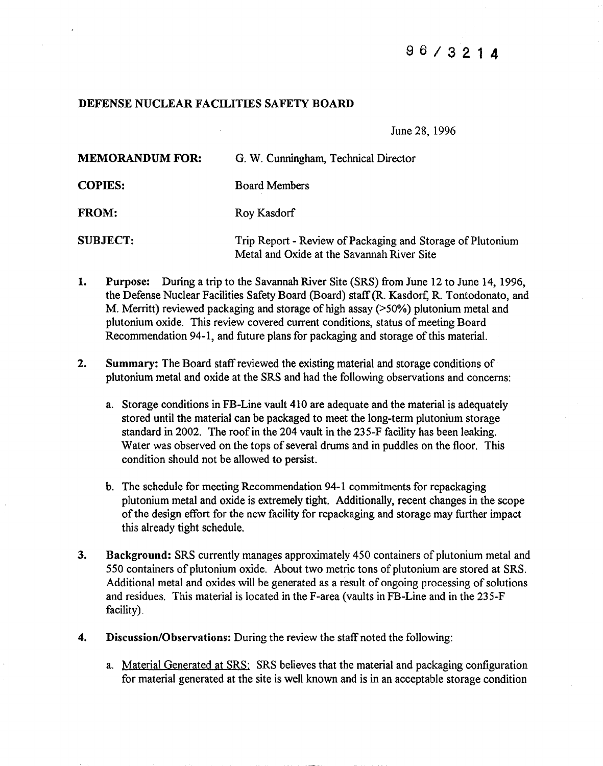## 9 6 / 3 2 1 4

## DEFENSE NUCLEAR FACILITIES SAFETY BOARD

June 28, 1996

| <b>MEMORANDUM FOR:</b> | G. W. Cunningham, Technical Director                                                                     |
|------------------------|----------------------------------------------------------------------------------------------------------|
| <b>COPIES:</b>         | <b>Board Members</b>                                                                                     |
| <b>FROM:</b>           | Roy Kasdorf                                                                                              |
| <b>SUBJECT:</b>        | Trip Report - Review of Packaging and Storage of Plutonium<br>Metal and Oxide at the Savannah River Site |

- 1. Purpose: During a trip to the Savannah River Site (SRS) from June 12 to June 14, 1996, the Defense Nuclear Facilities Safety Board (Board) staff(R. Kasdorf, R. Tontodonato, and M. Merritt) reviewed packaging and storage of high assay ( $>50\%$ ) plutonium metal and plutonium oxide. This review covered current conditions, status of meeting Board Recommendation 94-1, and future plans for packaging and storage of this material.
- 2. Summary: The Board staff reviewed the existing material and storage conditions of plutonium metal and oxide at the SRS and had the following observations and concerns:
	- a. Storage conditions in FB-Line vault 410 are adequate and the material is adequately stored until the material can be packaged to meet the long-term plutonium storage standard in 2002. The roof in the 204 vault in the 235-F facility has been leaking. Water was observed on the tops of several drums and in puddles on the floor. This condition should not be allowed to persist.
	- b. The schedule for meeting Recommendation 94-1 commitments for repackaging plutonium metal and oxide is extremely tight. Additionally, recent changes in the scope of the design effort for the new facility for repackaging and storage may further impact this already tight schedule.
- 3. Background: SRS currently manages approximately 450 containers of plutonium metal and 550 containers of plutonium oxide. About two metric tons of plutonium are stored at SRS. Additional metal and oxides will be generated as a result of ongoing processing of solutions and residues. This material is located in the F-area (vaults in FB-Line and in the 235-F facility).
- 4. Discussion/Observations: During the review the staff noted the following:
	- a. Material Generated at SRS: SRS believes that the material and packaging configuration for material generated at the site is well known and is in an acceptable storage condition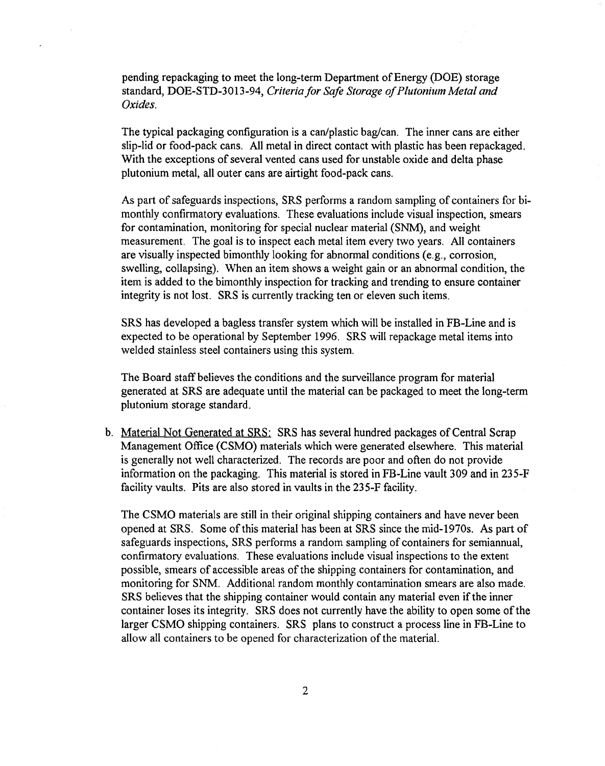pending repackaging to meet the long-term Department of Energy (DOE) storage standard, DOE-STD-3013-94, *Criteria for Safe Storage ofPlutonium Metal and Oxides.*

The typical packaging configuration is a can/plastic bag/can. The inner cans are either slip-lid or food-pack cans. All metal in direct contact with plastic has been repackaged. With the exceptions of several vented cans used for unstable oxide and delta phase plutonium metal, all outer cans are airtight food-pack cans.

As part of safeguards inspections, SRS performs a random sampling of containers for bimonthly confirmatory evaluations. These evaluations include visual inspection, smears for contamination, monitoring for special nuclear material (SNM), and weight measurement. The goal is to inspect each metal item every two years. All containers are visually inspected bimonthly looking for abnormal conditions (e.g., corrosion, swelling, collapsing). When an item shows a weight gain or an abnormal condition, the item is added to the bimonthly inspection for tracking and trending to ensure container integrity is not lost. SRS is currently tracking ten or eleven such items.

SRS has developed a bagless transfer system which will be installed in FB-Line and is expected to be operational by September 1996. SRS will repackage metal items into welded stainless steel containers using this system.

The Board staff believes the conditions and the surveillance program for material generated at SRS are adequate until the material can be packaged to meet the long-term plutonium storage standard.

b. Material Not Generated at SRS: SRS has several hundred packages of Central Scrap Management Office (CSMO) materials which were generated elsewhere. This material is generally not well characterized. The records are poor and often do not provide information on the packaging. This material is stored in FB-Line vault 309 and in 235-F facility vaults. Pits are also stored in vaults in the 235-F facility.

The CSMO materials are still in their original shipping containers and have never been opened at SRS. Some ofthis material has been at SRS since the mid-1970s. As part of safeguards inspections, SRS performs a random sampling of containers for semiannual, confirmatory evaluations. These evaluations include visual inspections to the extent possible, smears of accessible areas of the shipping containers for contamination, and monitoring for SNM. Additional random monthly contamination smears are also made. SRS believes that the shipping container would contain any material even if the inner container loses its integrity. SRS does not currently have the ability to open some of the larger CSMO shipping containers. SRS plans to construct a process line in FB-Line to allow all containers to be opened for characterization of the material.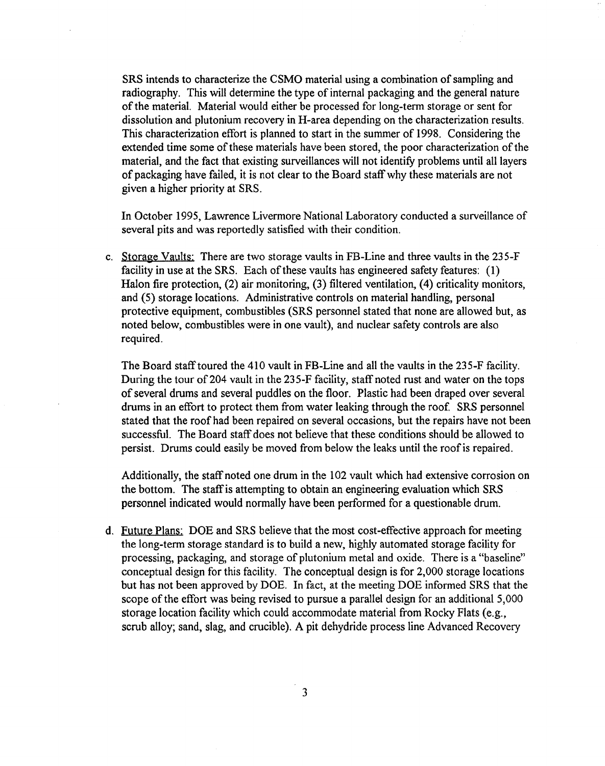SRS intends to characterize the CSMO material using a combination of sampling and radiography. This will determine the type of internal packaging and the general nature of the material. Material would either be processed for long-term storage or sent for dissolution and plutonium recovery in H-area depending on the characterization results. This characterization effort is planned to start in the summer of 1998. Considering the extended time some of these materials have been stored, the poor characterization of the material, and the fact that existing surveillances will not identify problems until all layers of packaging have failed, it is not clear to the Board staffwhy these materials are not given a higher priority at SRS.

In October 1995, Lawrence Livermore National Laboratory conducted a surveillance of several pits and was reportedly satisfied with their condition.

c. Storage Vaults: There are two storage vaults in FB-Line and three vaults in the 235-F facility in use at the SRS. Each of these vaults has engineered safety features:  $(1)$ Halon fire protection, (2) air monitoring, (3) filtered ventilation, (4) criticality monitors, and (5) storage locations. Administrative controls on material handling, personal protective equipment, combustibles (SRS personnel stated that none are allowed but, as noted below, combustibles were in one vault), and nuclear safety controls are also required.

The Board stafftoured the 410 vault in FB-Line and all the vaults in the 235-F facility. During the tour of 204 vault in the 235-F facility, staff noted rust and water on the tops of several drums and several puddles on the floor. Plastic had been draped over several drums in an effort to protect them from water leaking through the roof. SRS personnel stated that the roof had been repaired on several occasions, but the repairs have not been successful. The Board staff does not believe that these conditions should be allowed to persist. Drums could easily be moved from below the leaks until the roofis repaired.

Additionally, the staff noted one drum in the 102 vault which had extensive corrosion on the bottom. The staffis attempting to obtain an engineering evaluation which SRS personnel indicated would normally have been performed for a questionable drum.

d. Future Plans; DOE and SRS believe that the most cost-effective approach for meeting the long-term storage standard is to build a new, highly automated storage facility for processing, packaging, and storage of plutonium metal and oxide. There is a "baseline" conceptual design for this facility. The conceptual design is for 2,000 storage locations but has not been approved by DOE. In fact, at the meeting DOE informed SRS that the scope of the effort was being revised to pursue a parallel design for an additional 5,000 storage location facility which could accommodate material from Rocky Flats (e.g., scrub alloy; sand, slag, and crucible). A pit dehydride process line Advanced Recovery